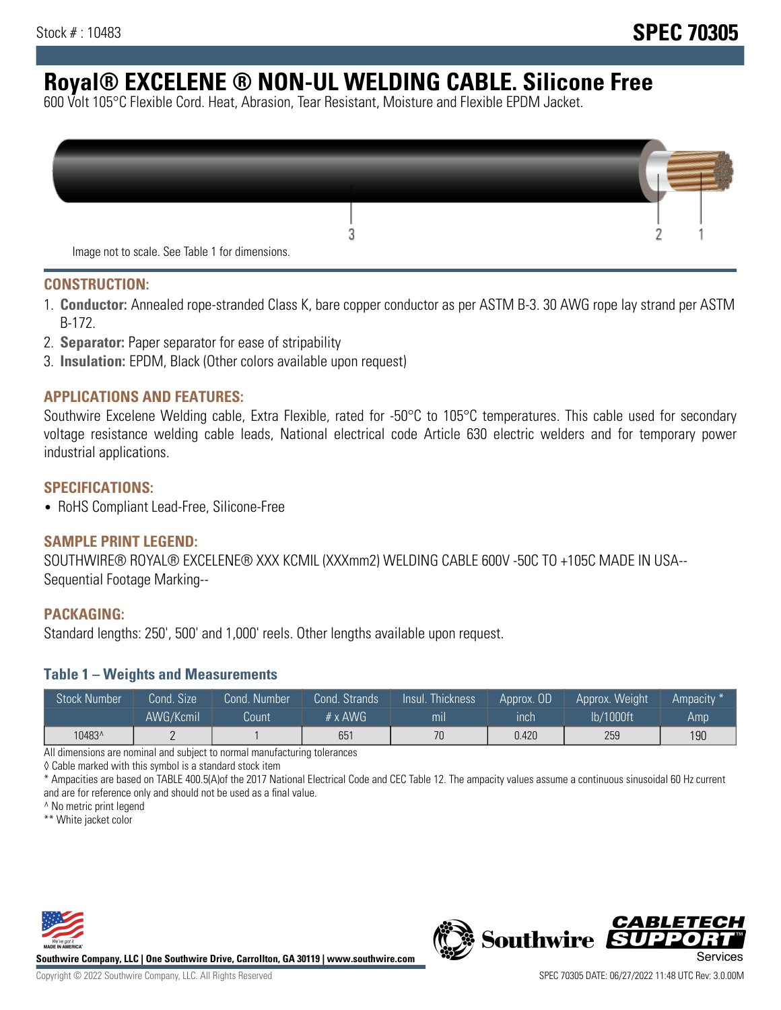# **Royal® EXCELENE ® NON-UL WELDING CABLE. Silicone Free**

600 Volt 105°C Flexible Cord. Heat, Abrasion, Tear Resistant, Moisture and Flexible EPDM Jacket.

| Image not to scale. See Table 1 for dimensions. |  |
|-------------------------------------------------|--|

#### **CONSTRUCTION:**

- 1. **Conductor:** Annealed rope-stranded Class K, bare copper conductor as per ASTM B-3. 30 AWG rope lay strand per ASTM B-172.
- 2. **Separator:** Paper separator for ease of stripability
- 3. **Insulation:** EPDM, Black (Other colors available upon request)

### **APPLICATIONS AND FEATURES:**

Southwire Excelene Welding cable, Extra Flexible, rated for -50°C to 105°C temperatures. This cable used for secondary voltage resistance welding cable leads, National electrical code Article 630 electric welders and for temporary power industrial applications.

#### **SPECIFICATIONS:**

• RoHS Compliant Lead-Free, Silicone-Free

#### **SAMPLE PRINT LEGEND:**

SOUTHWIRE® ROYAL® EXCELENE® XXX KCMIL (XXXmm2) WELDING CABLE 600V -50C TO +105C MADE IN USA-- Sequential Footage Marking--

#### **PACKAGING:**

Standard lengths: 250', 500' and 1,000' reels. Other lengths available upon request.

#### **Table 1 – Weights and Measurements**

| <b>Stock Number</b> | Cond. Size' | Cond. Number | Cond. Strands   | $\sqrt{$ lnsul $\sqrt{ }$<br>Thickness' | Approx. OD | Approx. Weight | Ampacity * |
|---------------------|-------------|--------------|-----------------|-----------------------------------------|------------|----------------|------------|
|                     | AWG/Kcmil   | Count        | $# \times$ AWG  | m <sub>l</sub>                          | inch       | lb/1000ft      | Amp        |
| 10483^              |             |              | 65 <sup>′</sup> | 70                                      | 0.420      | 259            | 190        |

All dimensions are nominal and subject to normal manufacturing tolerances

◊ Cable marked with this symbol is a standard stock item

\* Ampacities are based on TABLE 400.5(A)of the 2017 National Electrical Code and CEC Table 12. The ampacity values assume a continuous sinusoidal 60 Hz current and are for reference only and should not be used as a final value.

^ No metric print legend

\*\* White jacket color



**Southwire Company, LLC | One Southwire Drive, Carrollton, GA 30119 | www.southwire.com**



*CABLETE*